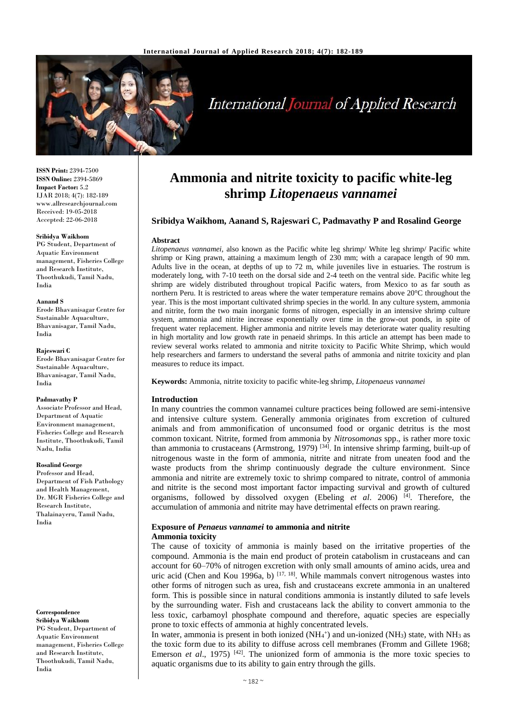

# **International Journal of Applied Research**

**ISSN Print:** 2394-7500 **ISSN Online:** 2394-5869 **Impact Factor:** 5.2 IJAR 2018; 4(7): 182-189 www.allresearchjournal.com Received: 19-05-2018 Accepted: 22-06-2018

#### **Sribidya Waikhom**

PG Student, Department of Aquatic Environment management, Fisheries College and Research Institute, Thoothukudi, Tamil Nadu, India

#### **Aanand S**

Erode Bhavanisagar Centre for Sustainable Aquaculture, Bhavanisagar, Tamil Nadu, India

#### **Rajeswari C**

Erode Bhavanisagar Centre for Sustainable Aquaculture, Bhavanisagar, Tamil Nadu, India

#### **Padmavathy P**

Associate Professor and Head, Department of Aquatic Environment management, Fisheries College and Research Institute, Thoothukudi, Tamil Nadu, India

#### **Rosalind George**

Professor and Head, Department of Fish Pathology and Health Management, Dr. MGR Fisheries College and Research Institute, Thalainayeru, Tamil Nadu, India

#### **Correspondence**

**Sribidya Waikhom** PG Student, Department of Aquatic Environment management, Fisheries College and Research Institute, Thoothukudi, Tamil Nadu, India

## **Ammonia and nitrite toxicity to pacific white-leg shrimp** *Litopenaeus vannamei*

#### **Sribidya Waikhom, Aanand S, Rajeswari C, Padmavathy P and Rosalind George**

#### **Abstract**

*Litopenaeus vannamei,* also known as the Pacific white leg shrimp/ White leg shrimp/ Pacific white shrimp or King prawn, attaining a maximum length of 230 mm; with a carapace length of 90 mm. Adults live in the ocean, at depths of up to 72 m, while juveniles live in estuaries. The rostrum is moderately long, with 7-10 teeth on the dorsal side and 2-4 teeth on the ventral side. Pacific white leg shrimp are widely distributed throughout tropical Pacific waters, from Mexico to as far south as northern Peru. It is restricted to areas where the water temperature remains above 20°C throughout the year. This is the most important cultivated shrimp species in the world. In any culture system, ammonia and nitrite, form the two main inorganic forms of nitrogen, especially in an intensive shrimp culture system, ammonia and nitrite increase exponentially over time in the grow-out ponds, in spite of frequent water replacement. Higher ammonia and nitrite levels may deteriorate water quality resulting in high mortality and low growth rate in penaeid shrimps. In this article an attempt has been made to review several works related to ammonia and nitrite toxicity to Pacific White Shrimp, which would help researchers and farmers to understand the several paths of ammonia and nitrite toxicity and plan measures to reduce its impact.

**Keywords:** Ammonia, nitrite toxicity to pacific white-leg shrimp, *Litopenaeus vannamei*

#### **Introduction**

In many countries the common vannamei culture practices being followed are semi-intensive and intensive culture system. Generally ammonia originates from excretion of cultured animals and from ammonification of unconsumed food or organic detritus is the most common toxicant. Nitrite, formed from ammonia by *Nitrosomonas* spp., is rather more toxic than ammonia to crustaceans (Armstrong, 1979)<sup>[34]</sup>. In intensive shrimp farming, built-up of nitrogenous waste in the form of ammonia, nitrite and nitrate from uneaten food and the waste products from the shrimp continuously degrade the culture environment. Since ammonia and nitrite are extremely toxic to shrimp compared to nitrate, control of ammonia and nitrite is the second most important factor impacting survival and growth of cultured organisms, followed by dissolved oxygen (Ebeling *et al*. 2006) [4]. Therefore, the accumulation of ammonia and nitrite may have detrimental effects on prawn rearing.

## **Exposure of** *Penaeus vannamei* **to ammonia and nitrite**

#### **Ammonia toxicity**

The cause of toxicity of ammonia is mainly based on the irritative properties of the compound. Ammonia is the main end product of protein catabolism in crustaceans and can account for 60–70% of nitrogen excretion with only small amounts of amino acids, urea and uric acid (Chen and Kou 1996a, b)  $[17, 18]$ . While mammals convert nitrogenous wastes into other forms of nitrogen such as urea, fish and crustaceans excrete ammonia in an unaltered form. This is possible since in natural conditions ammonia is instantly diluted to safe levels by the surrounding water. Fish and crustaceans lack the ability to convert ammonia to the less toxic, carbamoyl phosphate compound and therefore, aquatic species are especially prone to toxic effects of ammonia at highly concentrated levels.

In water, ammonia is present in both ionized ( $NH<sub>4</sub>$ <sup>+</sup>) and un-ionized ( $NH<sub>3</sub>$ ) state, with  $NH<sub>3</sub>$  as the toxic form due to its ability to diffuse across cell membranes (Fromm and Gillete 1968; Emerson *et al.*, 1975)<sup>[42]</sup>. The unionized form of ammonia is the more toxic species to aquatic organisms due to its ability to gain entry through the gills.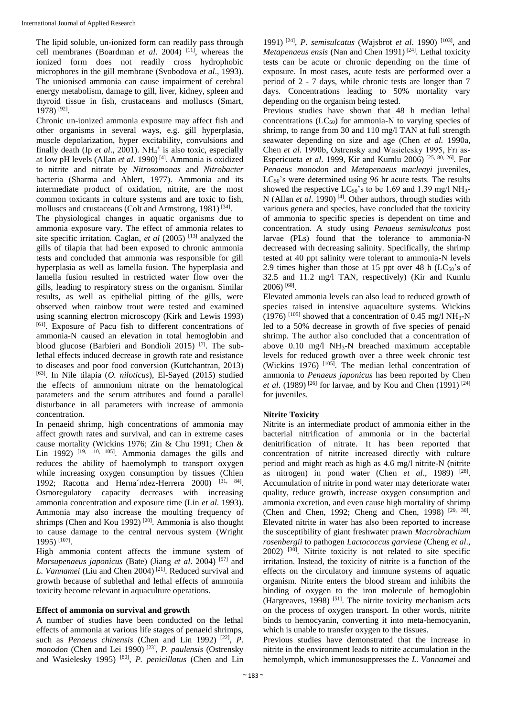The lipid soluble, un-ionized form can readily pass through cell membranes (Boardman *et al*. 2004) [11], whereas the ionized form does not readily cross hydrophobic microphores in the gill membrane (Svobodova *et al*., 1993). The unionised ammonia can cause impairment of cerebral energy metabolism, damage to gill, liver, kidney, spleen and thyroid tissue in fish, crustaceans and molluscs (Smart, 1978) [92] .

Chronic un-ionized ammonia exposure may affect fish and other organisms in several ways, e.g. gill hyperplasia, muscle depolarization, hyper excitability, convulsions and finally death (Ip *et al.*, 2001). NH<sub>4</sub><sup>+</sup> is also toxic, especially at low pH levels (Allan *et al*. 1990) [4]. Ammonia is oxidized to nitrite and nitrate by *Nitrosomonas* and *Nitrobacter*  bacteria (Sharma and Ahlert, 1977). Ammonia and its intermediate product of oxidation, nitrite, are the most common toxicants in culture systems and are toxic to fish, molluscs and crustaceans (Colt and Armstrong, 1981)<sup>[34]</sup>.

The physiological changes in aquatic organisms due to ammonia exposure vary. The effect of ammonia relates to site specific irritation. Caglan, *et al* (2005) [13] analyzed the gills of tilapia that had been exposed to chronic ammonia tests and concluded that ammonia was responsible for gill hyperplasia as well as lamella fusion. The hyperplasia and lamella fusion resulted in restricted water flow over the gills, leading to respiratory stress on the organism. Similar results, as well as epithelial pitting of the gills, were observed when rainbow trout were tested and examined using scanning electron microscopy (Kirk and Lewis 1993) [61]. Exposure of Pacu fish to different concentrations of ammonia-N caused an elevation in total hemoglobin and blood glucose (Barbieri and Bondioli 2015) [7]. The sublethal effects induced decrease in growth rate and resistance to diseases and poor food conversion (Kuttchantran, 2013) [63]. In Nile tilapia (*O. niloticus*), El-Sayed (2015) studied the effects of ammonium nitrate on the hematological parameters and the serum attributes and found a parallel disturbance in all parameters with increase of ammonia concentration.

In penaeid shrimp, high concentrations of ammonia may affect growth rates and survival, and can in extreme cases cause mortality (Wickins 1976; Zin & Chu 1991; Chen & Lin 1992)<sup>[19, 110, 105]</sup>. Ammonia damages the gills and reduces the ability of haemolymph to transport oxygen while increasing oxygen consumption by tissues (Chien 1992; Racotta and Herna'ndez-Herrera 2000) [31, 84]. Osmoregulatory capacity decreases with increasing ammonia concentration and exposure time (Lin *et al*. 1993). Ammonia may also increase the moulting frequency of shrimps (Chen and Kou 1992)<sup>[20]</sup>. Ammonia is also thought to cause damage to the central nervous system (Wright 1995) [107] .

High ammonia content affects the immune system of *Marsupenaeus japonicus* (Bate) (Jiang *et al*. 2004) [57] and *L. Vannamei* (Liu and Chen 2004) [21]. Reduced survival and growth because of sublethal and lethal effects of ammonia toxicity become relevant in aquaculture operations.

#### **Effect of ammonia on survival and growth**

A number of studies have been conducted on the lethal effects of ammonia at various life stages of penaeid shrimps, such as *Penaeus chinensis* (Chen and Lin 1992)<sup>[22]</sup>, *P. monodon* (Chen and Lei 1990) [23] , *P. paulensis* (Ostrensky and Wasielesky 1995) [80] , *P. penicillatus* (Chen and Lin

1991) [24] , *P. semisulcatus* (Wajsbrot *et al*. 1990) [103], and *Metapenaeus ensis* (Nan and Chen 1991)<sup>[24]</sup>. Lethal toxicity tests can be acute or chronic depending on the time of exposure. In most cases, acute tests are performed over a period of 2 - 7 days, while chronic tests are longer than 7 days. Concentrations leading to 50% mortality vary depending on the organism being tested.

Previous studies have shown that 48 h median lethal concentrations  $(LC_{50})$  for ammonia-N to varying species of shrimp, to range from 30 and 110 mg/l TAN at full strength seawater depending on size and age (Chen *et al.* 1990a, Chen *et al.* 1990b, Ostrensky and Wasielesky 1995, Frı´as-Espericueta *et al*. 1999, Kir and Kumlu 2006) [25, 80, 26]. For *Penaeus monodon* and *Metapenaeus macleayi* juveniles,  $LC_{50}$ 's were determined using 96 hr acute tests. The results showed the respective  $LC_{50}$ 's to be 1.69 and 1.39 mg/l NH<sub>3</sub>-N (Allan *et al.* 1990)<sup>[4]</sup>. Other authors, through studies with various genera and species, have concluded that the toxicity of ammonia to specific species is dependent on time and concentration. A study using *Penaeus semisulcatus* post larvae (PLs) found that the tolerance to ammonia-N decreased with decreasing salinity. Specifically, the shrimp tested at 40 ppt salinity were tolerant to ammonia-N levels 2.9 times higher than those at 15 ppt over 48 h  $(LC_{50})$ 's of 32.5 and 11.2 mg/l TAN, respectively) (Kir and Kumlu 2006) [60] .

Elevated ammonia levels can also lead to reduced growth of species raised in intensive aquaculture systems. Wickins  $(1976)$  [105] showed that a concentration of 0.45 mg/l NH<sub>3</sub>-N led to a 50% decrease in growth of five species of penaid shrimp. The author also concluded that a concentration of above  $0.10$  mg/l NH<sub>3</sub>-N breached maximum acceptable levels for reduced growth over a three week chronic test (Wickins 1976)<sup>[105]</sup>. The median lethal concentration of ammonia to *Penaeus japonicus* has been reported by Chen *et al.* (1989)<sup>[26]</sup> for larvae, and by Kou and Chen (1991)<sup>[24]</sup> for juveniles.

#### **Nitrite Toxicity**

Nitrite is an intermediate product of ammonia either in the bacterial nitrification of ammonia or in the bacterial denitrification of nitrate. It has been reported that concentration of nitrite increased directly with culture period and might reach as high as 4.6 mg/l nitrite-N (nitrite as nitrogen) in pond water (Chen et al., 1989) <sup>[28]</sup>. Accumulation of nitrite in pond water may deteriorate water quality, reduce growth, increase oxygen consumption and ammonia excretion, and even cause high mortality of shrimp (Chen and Chen, 1992; Cheng and Chen, 1998)  $[29, 30]$ . Elevated nitrite in water has also been reported to increase the susceptibility of giant freshwater prawn *Macrobrachium rosenbergii* to pathogen *Lactococcus garvieae* (Cheng *et al*.,  $2002$ )  $[30]$ . Nitrite toxicity is not related to site specific irritation. Instead, the toxicity of nitrite is a function of the effects on the circulatory and immune systems of aquatic organism. Nitrite enters the blood stream and inhibits the binding of oxygen to the iron molecule of hemoglobin (Hargreaves, 1998)  $[51]$ . The nitrite toxicity mechanism acts on the process of oxygen transport. In other words, nitrite binds to hemocyanin, converting it into meta-hemocyanin, which is unable to transfer oxygen to the tissues.

Previous studies have demonstrated that the increase in nitrite in the environment leads to nitrite accumulation in the hemolymph, which immunosuppresses the *L. Vannamei* and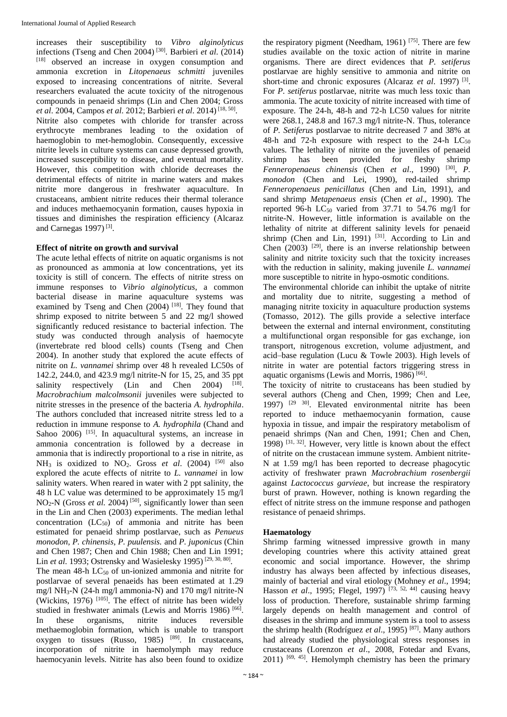increases their susceptibility to *Vibro alginolyticus*  infections (Tseng and Chen 2004) [30]. Barbieri *et al*. (2014) [18] observed an increase in oxygen consumption and ammonia excretion in *Litopenaeus schmitti* juveniles exposed to increasing concentrations of nitrite. Several researchers evaluated the acute toxicity of the nitrogenous compounds in penaeid shrimps (Lin and Chen 2004; Gross *et al*. 2004, Campos *et al*. 2012; Barbieri *et al*. 2014) [18, 50] . Nitrite also competes with chloride for transfer across erythrocyte membranes leading to the oxidation of haemoglobin to met-hemoglobin. Consequently, excessive nitrite levels in culture systems can cause depressed growth, increased susceptibility to disease, and eventual mortality. However, this competition with chloride decreases the detrimental effects of nitrite in marine waters and makes nitrite more dangerous in freshwater aquaculture. In crustaceans, ambient nitrite reduces their thermal tolerance and induces methaemocyanin formation, causes hypoxia in tissues and diminishes the respiration efficiency (Alcaraz and Carnegas 1997)<sup>[3]</sup>.

#### **Effect of nitrite on growth and survival**

The acute lethal effects of nitrite on aquatic organisms is not as pronounced as ammonia at low concentrations, yet its toxicity is still of concern. The effects of nitrite stress on immune responses to *Vibrio alginolyticus*, a common bacterial disease in marine aquaculture systems was examined by Tseng and Chen  $(2004)$  [18]. They found that shrimp exposed to nitrite between 5 and 22 mg/l showed significantly reduced resistance to bacterial infection. The study was conducted through analysis of haemocyte (invertebrate red blood cells) counts (Tseng and Chen 2004). In another study that explored the acute effects of nitrite on *L. vannamei* shrimp over 48 h revealed LC50s of 142.2, 244.0, and 423.9 mg/l nitrite-N for 15, 25, and 35 ppt salinity respectively (Lin and Chen  $2004$ )  $^{[18]}$ . *Macrobrachium malcolmsonii* juveniles were subjected to nitrite stresses in the presence of the bacteria *A. hydrophila*. The authors concluded that increased nitrite stress led to a reduction in immune response to *A. hydrophila* (Chand and Sahoo 2006) <sup>[15]</sup>. In aquacultural systems, an increase in ammonia concentration is followed by a decrease in ammonia that is indirectly proportional to a rise in nitrite, as  $NH_3$  is oxidized to  $NO_2$ . Gross *et al.* (2004) <sup>[50]</sup> also explored the acute effects of nitrite to *L. vannamei* in low salinity waters. When reared in water with 2 ppt salinity, the 48 h LC value was determined to be approximately 15 mg/l NO<sub>2</sub>-N (Gross *et al.* 2004)<sup>[50]</sup>, significantly lower than seen in the Lin and Chen (2003) experiments. The median lethal concentration  $(LC_{50})$  of ammonia and nitrite has been estimated for penaeid shrimp postlarvae, such as *Penueus monodon, P. chinensis, P. puulensis.* and *P. juponicus* (Chin and Chen 1987; Chen and Chin 1988; Chen and Lin 1991; Lin *et al.* 1993; Ostrensky and Wasielesky 1995)<sup>[29, 30, 80].</sup>

The mean  $48-h$  LC<sub>50</sub> of un-ionized ammonia and nitrite for postlarvae of several penaeids has been estimated at 1.29 mg/l NH<sub>3</sub>-N (24-h mg/l ammonia-N) and 170 mg/l nitrite-N (Wickins, 1976)  $[105]$ . The effect of nitrite has been widely studied in freshwater animals (Lewis and Morris 1986)<sup>[66]</sup>. In these organisms, nitrite induces reversible methaemoglobin formation, which is unable to transport oxygen to tissues (Russo, 1985) [89]. In crustaceans, incorporation of nitrite in haemolymph may reduce haemocyanin levels. Nitrite has also been found to oxidize

the respiratory pigment (Needham, 1961)  $[75]$ . There are few studies available on the toxic action of nitrite in marine organisms. There are direct evidences that *P. setiferus* postlarvae are highly sensitive to ammonia and nitrite on short-time and chronic exposures (Alcaraz *et al.* 1997)<sup>[3]</sup>. For *P. setiferus* postlarvae, nitrite was much less toxic than ammonia. The acute toxicity of nitrite increased with time of exposure. The 24-h, 48-h and 72-h LC50 values for nitrite were 268.1, 248.8 and 167.3 mg/l nitrite-N. Thus, tolerance of *P. Setiferus* postlarvae to nitrite decreased 7 and 38% at 48-h and 72-h exposure with respect to the 24-h  $LC_{50}$ values. The lethality of nitrite on the juveniles of penaeid shrimp has been provided for fleshy shrimp *Fenneropenaeus chinensis* (Chen *et al*., 1990) [30] , *P. monodon* (Chen and Lei, 1990), red-tailed shrimp *Fenneropenaeus penicillatus* (Chen and Lin, 1991), and sand shrimp *Metapenaeus ensis* (Chen *et al*., 1990). The reported 96-h  $LC_{50}$  varied from 37.71 to 54.76 mg/l for nitrite-N. However, little information is available on the lethality of nitrite at different salinity levels for penaeid shrimp (Chen and Lin, 1991)  $^{[31]}$ . According to Lin and Chen  $(2003)$  <sup>[29]</sup>, there is an inverse relationship between salinity and nitrite toxicity such that the toxicity increases with the reduction in salinity, making juvenile *L. vannamei*  more susceptible to nitrite in hypo-osmotic conditions.

The environmental chloride can inhibit the uptake of nitrite and mortality due to nitrite, suggesting a method of managing nitrite toxicity in aquaculture production systems (Tomasso, 2012). The gills provide a selective interface between the external and internal environment, constituting a multifunctional organ responsible for gas exchange, ion transport, nitrogenous excretion, volume adjustment, and acid–base regulation (Lucu & Towle 2003). High levels of nitrite in water are potential factors triggering stress in aquatic organisms (Lewis and Morris, 1986)<sup>[66]</sup>.

The toxicity of nitrite to crustaceans has been studied by several authors (Cheng and Chen, 1999; Chen and Lee, 1997) [29 30]. Elevated environmental nitrite has been reported to induce methaemocyanin formation, cause hypoxia in tissue, and impair the respiratory metabolism of penaeid shrimps (Nan and Chen, 1991; Chen and Chen, 1998)  $[31, 32]$ . However, very little is known about the effect of nitrite on the crustacean immune system. Ambient nitrite-N at 1.59 mg/l has been reported to decrease phagocytic activity of freshwater prawn *Macrobrachium rosenbergii* against *Lactococcus garvieae*, but increase the respiratory burst of prawn. However, nothing is known regarding the effect of nitrite stress on the immune response and pathogen resistance of penaeid shrimps.

#### **Haematology**

Shrimp farming witnessed impressive growth in many developing countries where this activity attained great economic and social importance. However, the shrimp industry has always been affected by infectious diseases, mainly of bacterial and viral etiology (Mohney *et al*., 1994; Hasson *et al.*, 1995; Flegel, 1997)<sup>[73, 52, 44] causing heavy</sup> loss of production. Therefore, sustainable shrimp farming largely depends on health management and control of diseases in the shrimp and immune system is a tool to assess the shrimp health (Rodríguez *et al*., 1995) [87]. Many authors had already studied the physiological stress responses in crustaceans (Lorenzon *et al*., 2008, Fotedar and Evans,  $2011$ )  $[69, 45]$ . Hemolymph chemistry has been the primary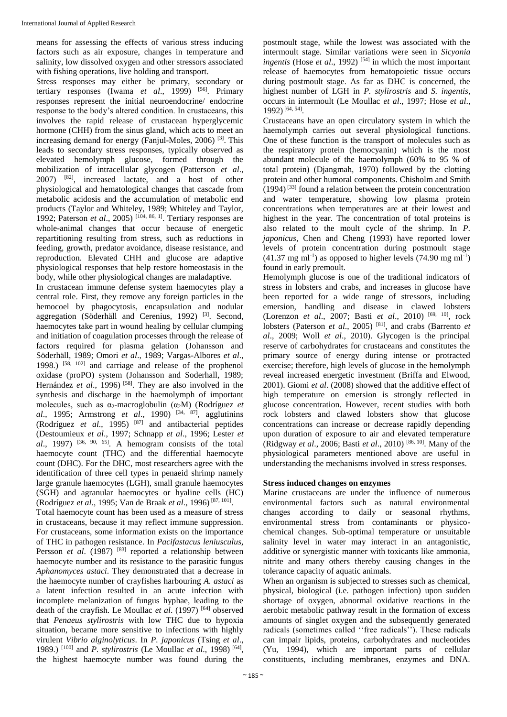means for assessing the effects of various stress inducing factors such as air exposure, changes in temperature and salinity, low dissolved oxygen and other stressors associated with fishing operations, live holding and transport.

Stress responses may either be primary, secondary or tertiary responses (Iwama *et al*., 1999) [56]. Primary responses represent the initial neuroendocrine/ endocrine response to the body's altered condition. In crustaceans, this involves the rapid release of crustacean hyperglycemic hormone (CHH) from the sinus gland, which acts to meet an increasing demand for energy (Fanjul-Moles, 2006) [3]. This leads to secondary stress responses, typically observed as elevated hemolymph glucose, formed through the mobilization of intracellular glycogen (Patterson *et al*., 2007) [82], increased lactate, and a host of other physiological and hematological changes that cascade from metabolic acidosis and the accumulation of metabolic end products (Taylor and Whiteley, 1989; Whiteley and Taylor, 1992; Paterson *et al*., 2005) [104, 86, 1]. Tertiary responses are whole-animal changes that occur because of energetic repartitioning resulting from stress, such as reductions in feeding, growth, predator avoidance, disease resistance, and reproduction. Elevated CHH and glucose are adaptive physiological responses that help restore homeostasis in the body, while other physiological changes are maladaptive.

In crustacean immune defense system haemocytes play a central role. First, they remove any foreign particles in the hemocoel by phagocytosis, encapsulation and nodular aggregation (Söderhäll and Cerenius, 1992)<sup>[3]</sup>. Second, haemocytes take part in wound healing by cellular clumping and initiation of coagulation processes through the release of factors required for plasma gelation (Johansson and Söderhäll, 1989; Omori *et al*., 1989; Vargas-Albores *et al*., 1998.) [58, 102] and carriage and release of the prophenol oxidase (proPO) system (Johansson and Soderhall, 1989; Hernández *et al.*, 1996)<sup>[58]</sup>. They are also involved in the synthesis and discharge in the haemolymph of important molecules, such as α<sub>2</sub>-macroglobulin (α<sub>2</sub>M) (Rodríguez *et al*., 1995; Armstrong *et al*., 1990) [34, 87] , agglutinins (Rodríguez *et al.*, 1995)<sup>[87]</sup> and antibacterial peptides (Destoumieux *et al*., 1997; Schnapp *et al*., 1996; Lester *et*   $\alpha l$ ., 1997) <sup>[36, 90, 65]. A hemogram consists of the total</sup> haemocyte count (THC) and the differential haemocyte count (DHC). For the DHC, most researchers agree with the identification of three cell types in penaeid shrimp namely large granule haemocytes (LGH), small granule haemocytes (SGH) and agranular haemocytes or hyaline cells (HC) (Rodríguez *et al*., 1995; Van de Braak *et al*., 1996) [87, 101] .

Total haemocyte count has been used as a measure of stress in crustaceans, because it may reflect immune suppression. For crustaceans, some information exists on the importance of THC in pathogen resistance. In *Pacifastacus leniusculus,*  Persson *et al.* (1987) <sup>[83]</sup> reported a relationship between haemocyte number and its resistance to the parasitic fungus *Aphanomyces astaci*. They demonstrated that a decrease in the haemocyte number of crayfishes harbouring *A. astaci* as a latent infection resulted in an acute infection with incomplete melanization of fungus hyphae, leading to the death of the crayfish. Le Moullac *et al*. (1997) [64] observed that *Penaeus stylirostris* with low THC due to hypoxia situation, became more sensitive to infections with highly virulent *Vibrio alginolyticus*. In *P. japonicus* (Tsing *et al*., 1989.) [100] and *P. stylirostris* (Le Moullac *et al*., 1998) [64] , the highest haemocyte number was found during the

postmoult stage, while the lowest was associated with the intermoult stage. Similar variations were seen in *Sicyonia ingentis* (Hose *et al.*, 1992)<sup>[54]</sup> in which the most important release of haemocytes from hematopoietic tissue occurs during postmoult stage. As far as DHC is concerned, the highest number of LGH in *P. stylirostris* and *S. ingentis*, occurs in intermoult (Le Moullac *et al*., 1997; Hose *et al*., 1992) [64, 54] .

Crustaceans have an open circulatory system in which the haemolymph carries out several physiological functions. One of these function is the transport of molecules such as the respiratory protein (hemocyanin) which is the most abundant molecule of the haemolymph (60% to 95 % of total protein) (Djangmah, 1970) followed by the clotting protein and other humoral components. Chisholm and Smith  $(1994)$ <sup>[33]</sup> found a relation between the protein concentration and water temperature, showing low plasma protein concentrations when temperatures are at their lowest and highest in the year. The concentration of total proteins is also related to the moult cycle of the shrimp. In *P. japonicus*, Chen and Cheng (1993) have reported lower levels of protein concentration during postmoult stage  $(41.37 \text{ mg ml}^{-1})$  as opposed to higher levels  $(74.90 \text{ mg ml}^{-1})$ found in early premoult.

Hemolymph glucose is one of the traditional indicators of stress in lobsters and crabs, and increases in glucose have been reported for a wide range of stressors, including emersion, handling and disease in clawed lobsters (Lorenzon *et al*., 2007; Basti *et al*., 2010) [69, 10] , rock lobsters (Paterson *et al.*, 2005)<sup>[81]</sup>, and crabs (Barrento *et al*., 2009; Woll *et al*., 2010). Glycogen is the principal reserve of carbohydrates for crustaceans and constitutes the primary source of energy during intense or protracted exercise; therefore, high levels of glucose in the hemolymph reveal increased energetic investment (Briffa and Elwood, 2001). Giomi *et al*. (2008) showed that the additive effect of high temperature on emersion is strongly reflected in glucose concentration. However, recent studies with both rock lobsters and clawed lobsters show that glucose concentrations can increase or decrease rapidly depending upon duration of exposure to air and elevated temperature (Ridgway *et al*., 2006; Basti *et al*., 2010) [86, 10]. Many of the physiological parameters mentioned above are useful in understanding the mechanisms involved in stress responses.

### **Stress induced changes on enzymes**

Marine crustaceans are under the influence of numerous environmental factors such as natural environmental changes according to daily or seasonal rhythms, environmental stress from contaminants or physicochemical changes. Sub-optimal temperature or unsuitable salinity level in water may interact in an antagonistic, additive or synergistic manner with toxicants like ammonia, nitrite and many others thereby causing changes in the tolerance capacity of aquatic animals.

When an organism is subjected to stresses such as chemical, physical, biological (i.e. pathogen infection) upon sudden shortage of oxygen, abnormal oxidative reactions in the aerobic metabolic pathway result in the formation of excess amounts of singlet oxygen and the subsequently generated radicals (sometimes called ''free radicals''). These radicals can impair lipids, proteins, carbohydrates and nucleotides (Yu, 1994), which are important parts of cellular constituents, including membranes, enzymes and DNA.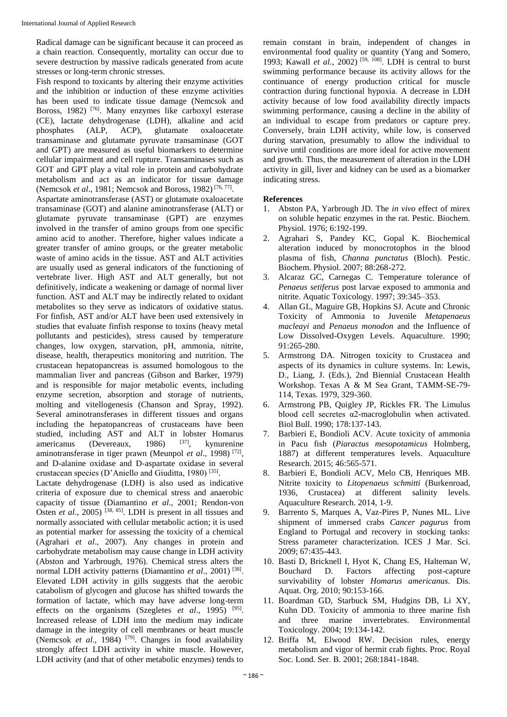Radical damage can be significant because it can proceed as a chain reaction. Consequently, mortality can occur due to severe destruction by massive radicals generated from acute stresses or long-term chronic stresses.

Fish respond to toxicants by altering their enzyme activities and the inhibition or induction of these enzyme activities has been used to indicate tissue damage (Nemcsok and Boross, 1982)<sup>[76]</sup>. Many enzymes like carboxyl esterase (CE), lactate dehydrogenase (LDH), alkaline and acid phosphates (ALP, ACP), glutamate oxaloacetate transaminase and glutamate pyruvate transaminase (GOT and GPT) are measured as useful biomarkers to determine cellular impairment and cell rupture. Transaminases such as GOT and GPT play a vital role in protein and carbohydrate metabolism and act as an indicator for tissue damage (Nemcsok *et al.*, 1981; Nemcsok and Boross, 1982)<sup>[76, 77]</sup>.

Aspartate aminotransferase (AST) or glutamate oxaloacetate transaminase (GOT) and alanine aminotransferase (ALT) or glutamate pyruvate transaminase (GPT) are enzymes involved in the transfer of amino groups from one specific amino acid to another. Therefore, higher values indicate a greater transfer of amino groups, or the greater metabolic waste of amino acids in the tissue. AST and ALT activities are usually used as general indicators of the functioning of vertebrate liver. High AST and ALT generally, but not definitively, indicate a weakening or damage of normal liver function. AST and ALT may be indirectly related to oxidant metabolites so they serve as indicators of oxidative status. For finfish, AST and/or ALT have been used extensively in studies that evaluate finfish response to toxins (heavy metal pollutants and pesticides), stress caused by temperature changes, low oxygen, starvation, pH, ammonia, nitrite, disease, health, therapeutics monitoring and nutrition. The crustacean hepatopancreas is assumed homologous to the mammalian liver and pancreas (Gibson and Barker, 1979) and is responsible for major metabolic events, including enzyme secretion, absorption and storage of nutrients, molting and vitellogenesis (Chanson and Spray, 1992). Several aminotransferases in different tissues and organs including the hepatopancreas of crustaceans have been studied, including  $\overline{AST}$  and  $\overline{ALT}$  in lobster Homarus<br>americanus (Devereaux. 1986)  $^{[37]}$ , kynurenine americanus (Devereaux, 1986) <sup>[37]</sup>, kynurenine aminotransferase in tiger prawn (Meunpol *et al.*, 1998)<sup>[72]</sup>, and D-alanine oxidase and D-aspartate oxidase in several crustacean species (D'Aniello and Giuditta, 1980)<sup>[35]</sup>.

Lactate dehydrogenase (LDH) is also used as indicative criteria of exposure due to chemical stress and anaerobic capacity of tissue (Diamantino *et al*., 2001; Rendon-von Osten *et al.*, 2005)<sup>[38, 85]</sup>. LDH is present in all tissues and normally associated with cellular metabolic action; it is used as potential marker for assessing the toxicity of a chemical (Agrahari *et al*., 2007). Any changes in protein and carbohydrate metabolism may cause change in LDH activity (Abston and Yarbrough, 1976). Chemical stress alters the normal LDH activity patterns (Diamantino *et al.*, 2001)<sup>[38]</sup>. Elevated LDH activity in gills suggests that the aerobic catabolism of glycogen and glucose has shifted towards the formation of lactate, which may have adverse long-term effects on the organisms (Szegletes *et al.*, 1995) <sup>[95]</sup>. Increased release of LDH into the medium may indicate damage in the integrity of cell membranes or heart muscle (Nemcsok *et al*., 1984) [79]. Changes in food availability strongly affect LDH activity in white muscle. However, LDH activity (and that of other metabolic enzymes) tends to

remain constant in brain, independent of changes in environmental food quality or quantity (Yang and Somero, 1993; Kawall *et al.*,  $2002$ <sup> $(59, 108)$ </sup>. LDH is central to burst swimming performance because its activity allows for the continuance of energy production critical for muscle contraction during functional hypoxia. A decrease in LDH activity because of low food availability directly impacts swimming performance, causing a decline in the ability of an individual to escape from predators or capture prey. Conversely, brain LDH activity, while low, is conserved during starvation, presumably to allow the individual to survive until conditions are more ideal for active movement and growth. Thus, the measurement of alteration in the LDH activity in gill, liver and kidney can be used as a biomarker indicating stress.

#### **References**

- 1. Abston PA, Yarbrough JD. The *in vivo* effect of mirex on soluble hepatic enzymes in the rat. Pestic. Biochem. Physiol. 1976; 6:192-199.
- 2. Agrahari S, Pandey KC, Gopal K. Biochemical alteration induced by monocrotophos in the blood plasma of fish, *Channa punctatus* (Bloch). Pestic. Biochem. Physiol. 2007; 88:268-272.
- 3. Alcaraz GC, Carnegas C. Temperature tolerance of *Penaeus setiferus* post larvae exposed to ammonia and nitrite. Aquatic Toxicology. 1997; 39:345–353.
- 4. Allan GL, Maguire GB, Hopkins SJ. Acute and Chronic Toxicity of Ammonia to Juvenile *Metapenaeus macleayi* and *Penaeus monodon* and the Influence of Low Dissolved-Oxygen Levels. Aquaculture. 1990; 91:265-280.
- 5. Armstrong DA. Nitrogen toxicity to Crustacea and aspects of its dynamics in culture systems. In: Lewis, D., Liang, J. (Eds.), 2nd Biennial Crustacean Health Workshop. Texas A & M Sea Grant, TAMM-SE-79- 114, Texas. 1979, 329-360.
- 6. Armstrong PB, Quigley JP, Rickles FR. The Limulus blood cell secretes α2-macroglobulin when activated. Biol Bull. 1990; 178:137-143.
- 7. Barbieri E, Bondioli ACV. Acute toxicity of ammonia in Pacu fish (*Piaractus mesopotamicus* Holmberg, 1887) at different temperatures levels. Aquaculture Research. 2015; 46:565-571.
- 8. Barbieri E, Bondioli ACV, Melo CB, Henriques MB. Nitrite toxicity to *Litopenaeus schmitti* (Burkenroad, 1936, Crustacea) at different salinity levels. Aquaculture Research. 2014, 1-9.
- 9. Barrento S, Marques A, Vaz-Pires P, Nunes ML. Live shipment of immersed crabs *Cancer pagurus* from England to Portugal and recovery in stocking tanks: Stress parameter characterization. ICES J Mar. Sci. 2009; 67:435-443.
- 10. Basti D, Bricknell I, Hyot K, Chang ES, Halteman W, Bouchard D. Factors affecting post-capture survivability of lobster *Homarus americanus*. Dis. Aquat. Org. 2010; 90:153-166.
- 11. Boardman GD, Starbuck SM, Hudgins DB, Li XY, Kuhn DD. Toxicity of ammonia to three marine fish and three marine invertebrates. Environmental Toxicology. 2004; 19:134-142.
- 12. Briffa M, Elwood RW. Decision rules, energy metabolism and vigor of hermit crab fights. Proc. Royal Soc. Lond. Ser. B. 2001; 268:1841-1848.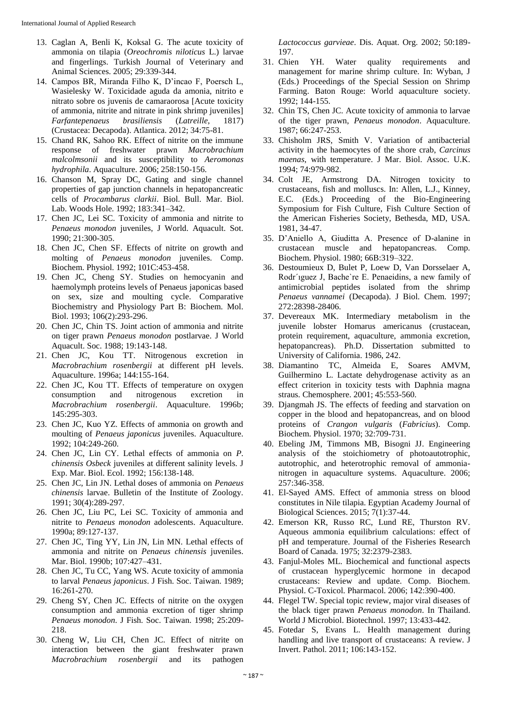- 13. Caglan A, Benli K, Koksal G. The acute toxicity of ammonia on tilapia (*Oreochromis niloticus* L.) larvae and fingerlings. Turkish Journal of Veterinary and Animal Sciences. 2005; 29:339-344.
- 14. Campos BR, Miranda Filho K, D'incao F, Poersch L, Wasielesky W. Toxicidade aguda da amonia, nitrito e nitrato sobre os juvenis de camaraorosa [Acute toxicity of ammonia, nitrite and nitrate in pink shrimp juveniles] *Farfantepenaeus brasiliensis* (*Latreille*, 1817) (Crustacea: Decapoda). Atlantica. 2012; 34:75-81.
- 15. Chand RK, Sahoo RK. Effect of nitrite on the immune response of freshwater prawn *Macrobrachium malcolmsonii* and its susceptibility to *Aeromonas hydrophila*. Aquaculture. 2006; 258:150-156.
- 16. Chanson M, Spray DC, Gating and single channel properties of gap junction channels in hepatopancreatic cells of *Procambarus clarkii*. Biol. Bull. Mar. Biol. Lab. Woods Hole. 1992; 183:341–342.
- 17. Chen JC, Lei SC. Toxicity of ammonia and nitrite to *Penaeus monodon* juveniles, J World. Aquacult. Sot. 1990; 21:300-305.
- 18. Chen JC, Chen SF. Effects of nitrite on growth and molting of *Penaeus monodon* juveniles. Comp. Biochem. Physiol. 1992; 101C:453-458.
- 19. Chen JC, Cheng SY. Studies on hemocyanin and haemolymph proteins levels of Penaeus japonicas based on sex, size and moulting cycle. Comparative Biochemistry and Physiology Part B: Biochem. Mol. Biol. 1993; 106(2):293-296.
- 20. Chen JC, Chin TS. Joint action of ammonia and nitrite on tiger prawn *Penaeus monodon* postlarvae. J World Aquacult. Soc. 1988; 19:143-148.
- 21. Chen JC, Kou TT. Nitrogenous excretion in *Macrobrachium rosenbergii* at different pH levels. Aquaculture. 1996a; 144:155-164.
- 22. Chen JC, Kou TT. Effects of temperature on oxygen consumption and nitrogenous excretion in *Macrobrachium rosenbergii*. Aquaculture. 1996b; 145:295-303.
- 23. Chen JC, Kuo YZ. Effects of ammonia on growth and moulting of *Penaeus japonicus* juveniles. Aquaculture. 1992; 104:249-260.
- 24. Chen JC, Lin CY. Lethal effects of ammonia on *P. chinensis Osbeck* juveniles at different salinity levels. J Exp. Mar. Biol. Ecol. 1992; 156:138-148.
- 25. Chen JC, Lin JN. Lethal doses of ammonia on *Penaeus chinensis* larvae. Bulletin of the Institute of Zoology. 1991; 30(4):289-297.
- 26. Chen JC, Liu PC, Lei SC. Toxicity of ammonia and nitrite to *Penaeus monodon* adolescents. Aquaculture. 1990a; 89:127-137.
- 27. Chen JC, Ting YY, Lin JN, Lin MN. Lethal effects of ammonia and nitrite on *Penaeus chinensis* juveniles. Mar. Biol. 1990b; 107:427–431.
- 28. Chen JC, Tu CC, Yang WS. Acute toxicity of ammonia to larval *Penaeus japonicus*. J Fish. Soc. Taiwan. 1989; 16:261-270.
- 29. Cheng SY, Chen JC. Effects of nitrite on the oxygen consumption and ammonia excretion of tiger shrimp *Penaeus monodon*. J Fish. Soc. Taiwan. 1998; 25:209- 218.
- 30. Cheng W, Liu CH, Chen JC. Effect of nitrite on interaction between the giant freshwater prawn *Macrobrachium rosenbergii* and its pathogen

*Lactococcus garvieae*. Dis. Aquat. Org. 2002; 50:189- 197.

- 31. Chien YH. Water quality requirements and management for marine shrimp culture. In: Wyban, J (Eds.) Proceedings of the Special Session on Shrimp Farming. Baton Rouge: World aquaculture society. 1992; 144-155.
- 32. Chin TS, Chen JC. Acute toxicity of ammonia to larvae of the tiger prawn, *Penaeus monodon*. Aquaculture. 1987; 66:247-253.
- 33. Chisholm JRS, Smith V. Variation of antibacterial activity in the haemocytes of the shore crab, *Carcinus maenas*, with temperature. J Mar. Biol. Assoc. U.K. 1994; 74:979-982.
- 34. Colt JE, Armstrong DA. Nitrogen toxicity to crustaceans, fish and molluscs. In: Allen, L.J., Kinney, E.C. (Eds.) Proceeding of the Bio-Engineering Symposium for Fish Culture, Fish Culture Section of the American Fisheries Society, Bethesda, MD, USA. 1981, 34-47.
- 35. D'Aniello A, Giuditta A. Presence of D-alanine in crustacean muscle and hepatopancreas. Comp. Biochem. Physiol. 1980; 66B:319–322.
- 36. Destoumieux D, Bulet P, Loew D, Van Dorsselaer A, Rodr´ıguez J, Bache`re E. Penaeidins, a new family of antimicrobial peptides isolated from the shrimp *Penaeus vannamei* (Decapoda). J Biol. Chem. 1997; 272:28398-28406.
- 37. Devereaux MK. Intermediary metabolism in the juvenile lobster Homarus americanus (crustacean, protein requirement, aquaculture, ammonia excretion, hepatopancreas). Ph.D. Dissertation submitted to University of California. 1986, 242.
- 38. Diamantino TC, Almeida E, Soares AMVM, Guilhermino L. Lactate dehydrogenase activity as an effect criterion in toxicity tests with Daphnia magna straus. Chemosphere. 2001; 45:553-560.
- 39. Djangmah JS. The effects of feeding and starvation on copper in the blood and hepatopancreas, and on blood proteins of *Crangon vulgaris* (*Fabricius*). Comp. Biochem. Physiol. 1970; 32:709-731.
- 40. Ebeling JM, Timmons MB, Bisogni JJ. Engineering analysis of the stoichiometry of photoautotrophic, autotrophic, and heterotrophic removal of ammonianitrogen in aquaculture systems. Aquaculture. 2006; 257:346-358.
- 41. El-Sayed AMS. Effect of ammonia stress on blood constitutes in Nile tilapia. Egyptian Academy Journal of Biological Sciences. 2015; 7(1):37-44.
- 42. Emerson KR, Russo RC, Lund RE, Thurston RV. Aqueous ammonia equilibrium calculations: effect of pH and temperature. Journal of the Fisheries Research Board of Canada. 1975; 32:2379-2383.
- 43. Fanjul-Moles ML. Biochemical and functional aspects of crustacean hyperglycemic hormone in decapod crustaceans: Review and update. Comp. Biochem. Physiol. C-Toxicol. Pharmacol. 2006; 142:390-400.
- 44. Flegel TW. Special topic review, major viral diseases of the black tiger prawn *Penaeus monodon*. In Thailand. World J Microbiol. Biotechnol. 1997; 13:433-442.
- 45. Fotedar S, Evans L. Health management during handling and live transport of crustaceans: A review. J Invert. Pathol. 2011; 106:143-152.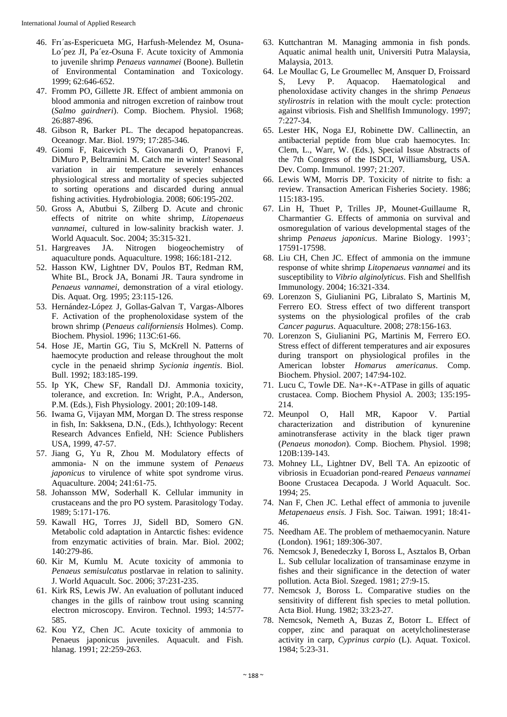- 46. Frı´as-Espericueta MG, Harfush-Melendez M, Osuna-Lo´pez JI, Pa´ez-Osuna F. Acute toxicity of Ammonia to juvenile shrimp *Penaeus vannamei* (Boone). Bulletin of Environmental Contamination and Toxicology. 1999; 62:646-652.
- 47. Fromm PO, Gillette JR. Effect of ambient ammonia on blood ammonia and nitrogen excretion of rainbow trout (*Salmo gairdneri*). Comp. Biochem. Physiol. 1968; 26:887-896.
- 48. Gibson R, Barker PL. The decapod hepatopancreas. Oceanogr. Mar. Biol. 1979; 17:285-346.
- 49. Giomi F, Raicevich S, Giovanardi O, Pranovi F, DiMuro P, Beltramini M. Catch me in winter! Seasonal variation in air temperature severely enhances physiological stress and mortality of species subjected to sorting operations and discarded during annual fishing activities. Hydrobiologia. 2008; 606:195-202.
- 50. Gross A, Abutbui S, Zilberg D. Acute and chronic effects of nitrite on white shrimp, *Litopenaeus vannamei*, cultured in low-salinity brackish water. J. World Aquacult. Soc. 2004; 35:315-321.
- 51. Hargreaves JA. Nitrogen biogeochemistry of aquaculture ponds. Aquaculture. 1998; 166:181-212.
- 52. Hasson KW, Lightner DV, Poulos BT, Redman RM, White BL, Brock JA, Bonami JR. Taura syndrome in *Penaeus vannamei*, demonstration of a viral etiology. Dis. Aquat. Org. 1995; 23:115-126.
- 53. Hernández-López J, Gollas-Galvan T, Vargas-Albores F. Activation of the prophenoloxidase system of the brown shrimp (*Penaeus californiensis* Holmes). Comp. Biochem. Physiol. 1996; 113C:61-66.
- 54. Hose JE, Martin GG, Tiu S, McKrell N. Patterns of haemocyte production and release throughout the molt cycle in the penaeid shrimp *Sycionia ingentis*. Biol. Bull. 1992; 183:185-199.
- 55. Ip YK, Chew SF, Randall DJ. Ammonia toxicity, tolerance, and excretion. In: Wright, P.A., Anderson, P.M. (Eds.), Fish Physiology. 2001; 20:109-148.
- 56. Iwama G, Vijayan MM, Morgan D. The stress response in fish, In: Sakksena, D.N., (Eds.), Ichthyology: Recent Research Advances Enfield, NH: Science Publishers USA, 1999, 47-57.
- 57. Jiang G, Yu R, Zhou M. Modulatory effects of ammonia- N on the immune system of *Penaeus japonicus* to virulence of white spot syndrome virus. Aquaculture. 2004; 241:61-75.
- 58. Johansson MW, Soderhall K. Cellular immunity in crustaceans and the pro PO system. Parasitology Today. 1989; 5:171-176.
- 59. Kawall HG, Torres JJ, Sidell BD, Somero GN. Metabolic cold adaptation in Antarctic fishes: evidence from enzymatic activities of brain. Mar. Biol. 2002; 140:279-86.
- 60. Kir M, Kumlu M. Acute toxicity of ammonia to *Penaeus semisulcatus* postlarvae in relation to salinity. J. World Aquacult. Soc. 2006; 37:231-235.
- 61. Kirk RS, Lewis JW. An evaluation of pollutant induced changes in the gills of rainbow trout using scanning electron microscopy. Environ. Technol. 1993; 14:577- 585.
- 62. Kou YZ, Chen JC. Acute toxicity of ammonia to Penaeus japonicus juveniles. Aquacult. and Fish. hlanag. 1991; 22:259-263.
- 63. Kuttchantran M. Managing ammonia in fish ponds. Aquatic animal health unit, Universiti Putra Malaysia, Malaysia, 2013.
- 64. Le Moullac G, Le Groumellec M, Ansquer D, Froissard S, Levy P. Aquacop. Haematological and phenoloxidase activity changes in the shrimp *Penaeus stylirostris* in relation with the moult cycle: protection against vibriosis. Fish and Shellfish Immunology. 1997; 7:227-34.
- 65. Lester HK, Noga EJ, Robinette DW. Callinectin, an antibacterial peptide from blue crab haemocytes. In: Clem, L., Warr, W. (Eds.), Special Issue Abstracts of the 7th Congress of the ISDCI, Williamsburg, USA. Dev. Comp. Immunol. 1997; 21:207.
- 66. Lewis WM, Morris DP. Toxicity of nitrite to fish: a review. Transaction American Fisheries Society. 1986; 115:183-195.
- 67. Lin H, Thuet P, Trilles JP, Mounet-Guillaume R, Charmantier G. Effects of ammonia on survival and osmoregulation of various developmental stages of the shrimp *Penaeus japonicus*. Marine Biology. 1993'; 17591-17598.
- 68. Liu CH, Chen JC. Effect of ammonia on the immune response of white shrimp *Litopenaeus vannamei* and its susceptibility to *Vibrio alginolyticus*. Fish and Shellfish Immunology. 2004; 16:321-334.
- 69. Lorenzon S, Giulianini PG, Libralato S, Martinis M, Ferrero EO. Stress effect of two different transport systems on the physiological profiles of the crab *Cancer pagurus*. Aquaculture. 2008; 278:156-163.
- 70. Lorenzon S, Giulianini PG, Martinis M, Ferrero EO. Stress effect of different temperatures and air exposures during transport on physiological profiles in the American lobster *Homarus americanus*. Comp. Biochem. Physiol. 2007; 147:94-102.
- 71. Lucu C, Towle DE. Na+-K+-ATPase in gills of aquatic crustacea. Comp. Biochem Physiol A. 2003; 135:195- 214.
- 72. Meunpol O, Hall MR, Kapoor V. Partial characterization and distribution of kynurenine aminotransferase activity in the black tiger prawn (*Penaeus monodon*). Comp. Biochem. Physiol. 1998; 120B:139-143.
- 73. Mohney LL, Lightner DV, Bell TA. An epizootic of vibriosis in Ecuadorian pond-reared *Penaeus vannamei* Boone Crustacea Decapoda. J World Aquacult. Soc. 1994; 25.
- 74. Nan F, Chen JC. Lethal effect of ammonia to juvenile *Metapenaeus ensis*. J Fish. Soc. Taiwan. 1991; 18:41- 46.
- 75. Needham AE. The problem of methaemocyanin. Nature (London). 1961; 189:306-307.
- 76. Nemcsok J, Benedeczky I, Boross L, Asztalos B, Orban L. Sub cellular localization of transaminase enzyme in fishes and their significance in the detection of water pollution. Acta Biol. Szeged. 1981; 27:9-15.
- 77. Nemcsok J, Boross L. Comparative studies on the sensitivity of different fish species to metal pollution. Acta Biol. Hung. 1982; 33:23-27.
- 78. Nemcsok, Nemeth A, Buzas Z, Botorr L. Effect of copper, zinc and paraquat on acetylcholinesterase activity in carp, *Cyprinus carpio* (L). Aquat. Toxicol. 1984; 5:23-31.